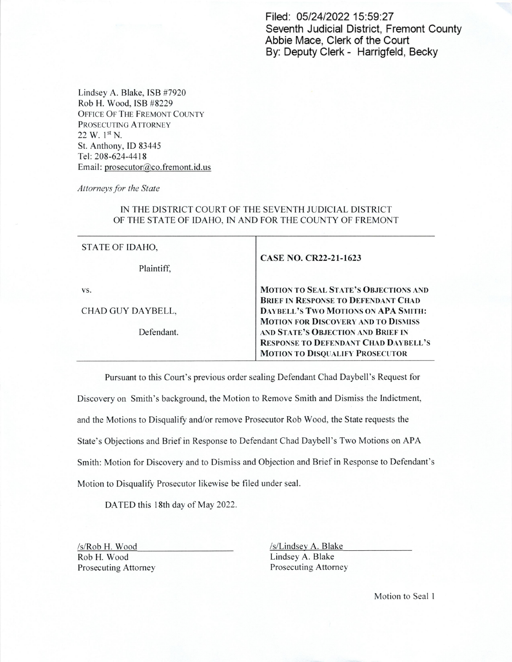Filed: 05/24/2022 15:59:27 Seventh Judicial District, Fremont County Abbie Mace, Clerk of the Court By: Deputy Clerk - Harrigfeld, Becky

Lindsey A. Blake, ISB #7920 Rob H. Wood, ISB #8229 OFFICE OF THE FREMONT COUNTY PROSECUTING ATTORNEY  $22 W. 1<sup>st</sup> N.$ St. Anthony, ID 83445 Tel: 208-624-4418 Email: prosecutor@co.fremont.id.us

Attorneys for the State

## IN THE DISTRICT COURT OF THE SEVENTH JUDICIAL DISTRICT OF THE STATE OF IDAHO, IN AND FOR THE COUNTY OF FREMONT

| STATE OF IDAHO,   | <b>CASE NO. CR22-21-1623</b>                                                                                                |
|-------------------|-----------------------------------------------------------------------------------------------------------------------------|
| Plaintiff,        |                                                                                                                             |
| VS.               | <b>MOTION TO SEAL STATE'S OBJECTIONS AND</b><br><b>BRIEF IN RESPONSE TO DEFENDANT CHAD</b>                                  |
| CHAD GUY DAYBELL, | DAYBELL'S TWO MOTIONS ON APA SMITH:<br><b>MOTION FOR DISCOVERY AND TO DISMISS</b>                                           |
| Defendant.        | AND STATE'S OBJECTION AND BRIEF IN<br><b>RESPONSE TO DEFENDANT CHAD DAYBELL'S</b><br><b>MOTION TO DISQUALIFY PROSECUTOR</b> |

Pursuant to this Coun's previous order sealing Defendant Chad Daybell's Request for Discovery on Smith's background, the Motion to Remove Smith and Dismiss the Indictment, and the Motions to Disqualify and/or remove Prosecutor Rob Wood, the State requests the State's Objections and Brief in Response to Defendant Chad Daybell's Two Motions on APA Smith: Motion for Discovery and to Dismiss and Objection and Briefin Response to Defendant's Motion to Disqualify Prosecutor likewise be filed under seal.

DATED this 18th day of May 2022.

Rob H. Wood<br>
Prosecuting Attorney<br>
Prosecuting Attorney<br>
Prosecuting Attorney Prosecuting Attorney

/s/Rob H. Wood /s/Lindsev A. Blake

Motion to Seal 1